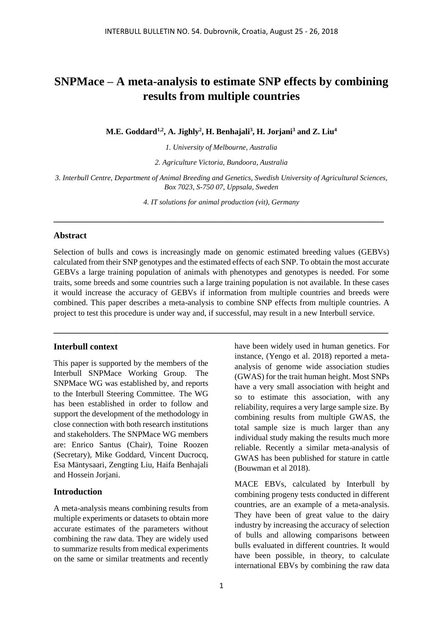# **SNPMace – A meta-analysis to estimate SNP effects by combining results from multiple countries**

**M.E. Goddard1,2, A. Jighly<sup>2</sup> , H. Benhajali<sup>3</sup> , H. Jorjani<sup>3</sup> and Z. Liu<sup>4</sup>**

*1. University of Melbourne, Australia*

*2. Agriculture Victoria, Bundoora, Australia*

*3. Interbull Centre, Department of Animal Breeding and Genetics, Swedish University of Agricultural Sciences, Box 7023, S-750 07, Uppsala, Sweden*

*4. IT solutions for animal production (vit), Germany*

**\_\_\_\_\_\_\_\_\_\_\_\_\_\_\_\_\_\_\_\_\_\_\_\_\_\_\_\_\_\_\_\_\_\_\_\_\_\_\_\_\_\_\_\_\_\_\_\_\_\_\_\_\_\_\_\_\_\_\_\_\_\_\_\_\_\_\_\_\_\_\_\_\_\_**

#### **Abstract**

Selection of bulls and cows is increasingly made on genomic estimated breeding values (GEBVs) calculated from their SNP genotypes and the estimated effects of each SNP. To obtain the most accurate GEBVs a large training population of animals with phenotypes and genotypes is needed. For some traits, some breeds and some countries such a large training population is not available. In these cases it would increase the accuracy of GEBVs if information from multiple countries and breeds were combined. This paper describes a meta-analysis to combine SNP effects from multiple countries. A project to test this procedure is under way and, if successful, may result in a new Interbull service.

**\_\_\_\_\_\_\_\_\_\_\_\_\_\_\_\_\_\_\_\_\_\_\_\_\_\_\_\_\_\_\_\_\_\_\_\_\_\_\_\_\_\_\_\_\_\_\_\_\_\_\_\_\_\_\_\_\_\_\_\_\_\_\_\_\_\_\_\_\_\_\_\_\_\_\_**

#### **Interbull context**

This paper is supported by the members of the Interbull SNPMace Working Group. The SNPMace WG was established by, and reports to the Interbull Steering Committee. The WG has been established in order to follow and support the development of the methodology in close connection with both research institutions and stakeholders. The SNPMace WG members are: Enrico Santus (Chair), Toine Roozen (Secretary), Mike Goddard, Vincent Ducrocq, Esa Mäntysaari, Zengting Liu, Haifa Benhajali and Hossein Jorjani.

#### **Introduction**

A meta-analysis means combining results from multiple experiments or datasets to obtain more accurate estimates of the parameters without combining the raw data. They are widely used to summarize results from medical experiments on the same or similar treatments and recently

1

have been widely used in human genetics. For instance, (Yengo et al. 2018) reported a metaanalysis of genome wide association studies (GWAS) for the trait human height. Most SNPs have a very small association with height and so to estimate this association, with any reliability, requires a very large sample size. By combining results from multiple GWAS, the total sample size is much larger than any individual study making the results much more reliable. Recently a similar meta-analysis of GWAS has been published for stature in cattle (Bouwman et al 2018).

MACE EBVs, calculated by Interbull by combining progeny tests conducted in different countries, are an example of a meta-analysis. They have been of great value to the dairy industry by increasing the accuracy of selection of bulls and allowing comparisons between bulls evaluated in different countries. It would have been possible, in theory, to calculate international EBVs by combining the raw data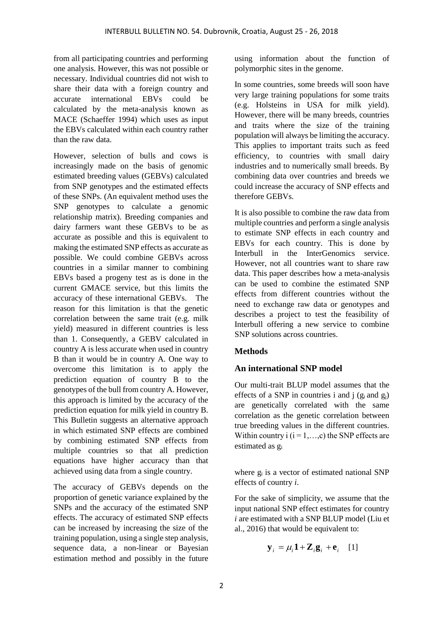from all participating countries and performing one analysis. However, this was not possible or necessary. Individual countries did not wish to share their data with a foreign country and accurate international EBVs could be calculated by the meta-analysis known as MACE (Schaeffer 1994) which uses as input the EBVs calculated within each country rather than the raw data.

However, selection of bulls and cows is increasingly made on the basis of genomic estimated breeding values (GEBVs) calculated from SNP genotypes and the estimated effects of these SNPs. (An equivalent method uses the SNP genotypes to calculate a genomic relationship matrix). Breeding companies and dairy farmers want these GEBVs to be as accurate as possible and this is equivalent to making the estimated SNP effects as accurate as possible. We could combine GEBVs across countries in a similar manner to combining EBVs based a progeny test as is done in the current GMACE service, but this limits the accuracy of these international GEBVs. The reason for this limitation is that the genetic correlation between the same trait (e.g. milk yield) measured in different countries is less than 1. Consequently, a GEBV calculated in country A is less accurate when used in country B than it would be in country A. One way to overcome this limitation is to apply the prediction equation of country B to the genotypes of the bull from country A. However, this approach is limited by the accuracy of the prediction equation for milk yield in country B. This Bulletin suggests an alternative approach in which estimated SNP effects are combined by combining estimated SNP effects from multiple countries so that all prediction equations have higher accuracy than that achieved using data from a single country.

The accuracy of GEBVs depends on the proportion of genetic variance explained by the SNPs and the accuracy of the estimated SNP effects. The accuracy of estimated SNP effects can be increased by increasing the size of the training population, using a single step analysis, sequence data, a non-linear or Bayesian estimation method and possibly in the future

using information about the function of polymorphic sites in the genome.

In some countries, some breeds will soon have very large training populations for some traits (e.g. Holsteins in USA for milk yield). However, there will be many breeds, countries and traits where the size of the training population will always be limiting the accuracy. This applies to important traits such as feed efficiency, to countries with small dairy industries and to numerically small breeds. By combining data over countries and breeds we could increase the accuracy of SNP effects and therefore GEBVs.

It is also possible to combine the raw data from multiple countries and perform a single analysis to estimate SNP effects in each country and EBVs for each country. This is done by Interbull in the InterGenomics service. However, not all countries want to share raw data. This paper describes how a meta-analysis can be used to combine the estimated SNP effects from different countries without the need to exchange raw data or genotypes and describes a project to test the feasibility of Interbull offering a new service to combine SNP solutions across countries.

# **Methods**

# **An international SNP model**

Our multi-trait BLUP model assumes that the effects of a SNP in countries i and  $j$  ( $g_i$  and  $g_j$ ) are genetically correlated with the same correlation as the genetic correlation between true breeding values in the different countries. Within country i  $(i = 1, \ldots, c)$  the SNP effects are estimated as g<sup>i</sup>

where  $g_i$  is a vector of estimated national SNP effects of country *i*.

For the sake of simplicity, we assume that the input national SNP effect estimates for country *i* are estimated with a SNP BLUP model (Liu et al., 2016) that would be equivalent to:

$$
\mathbf{y}_i = \mu_i \mathbf{1} + \mathbf{Z}_i \mathbf{g}_i + \mathbf{e}_i \quad [1]
$$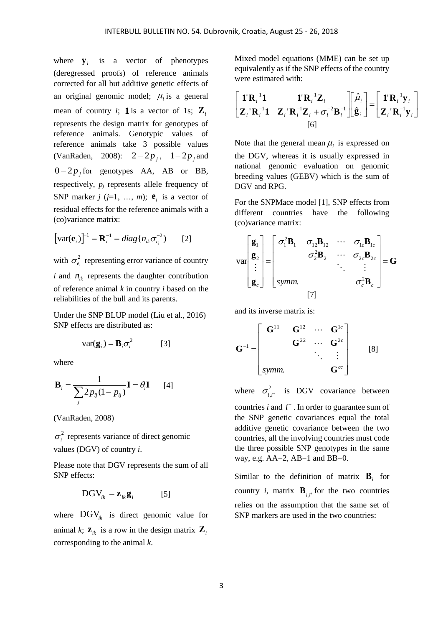where  $\mathbf{y}_i$  is a vector of phenotypes (deregressed proofs) of reference animals corrected for all but additive genetic effects of an original genomic model;  $\mu_i$  is a general mean of country *i*; **1** is a vector of 1s;  $\mathbf{Z}_i$ represents the design matrix for genotypes of reference animals. Genotypic values of reference animals take 3 possible values (VanRaden, 2008):  $2 - 2p_j$ ,  $1 - 2p_j$  and  $0 - 2p_j$  for genotypes AA, AB or BB, respectively, *p<sup>j</sup>* represents allele frequency of SNP marker  $j$  ( $j=1, \ldots, m$ );  $e_i$  is a vector of residual effects for the reference animals with a (co)variance matrix:

$$
\left[\text{var}(\mathbf{e}_i)\right]^{-1} = \mathbf{R}_i^{-1} = diag\{n_{ik}\sigma_{e_i}^{-2}\}\qquad[2]
$$

with  $\sigma_e^2$  $\sigma_{e_i}^2$  representing error variance of country *i* and  $n_{ik}$  represents the daughter contribution of reference animal *k* in country *i* based on the reliabilities of the bull and its parents.

Under the SNP BLUP model (Liu et al., 2016) SNP effects are distributed as:

$$
var(\mathbf{g}_i) = \mathbf{B}_i \sigma_i^2
$$
 [3]

where

$$
\mathbf{B}_{i} = \frac{1}{\sum_{j} 2p_{ij}(1 - p_{ij})} \mathbf{I} = \theta_{i} \mathbf{I} \qquad [4]
$$

(VanRaden, 2008)

 $\sigma_i^2$  represents variance of direct genomic values (DGV) of country *i*.

Please note that DGV represents the sum of all SNP effects:

$$
DGV_{ik} = \mathbf{z}_{ik}\mathbf{g}_i \quad [5]
$$

where  $\text{DGV}_{ik}$  is direct genomic value for animal k;  $\mathbf{z}_{ik}$  is a row in the design matrix  $\mathbf{Z}_{ik}$ corresponding to the animal *k*.

Mixed model equations (MME) can be set up equivalently as if the SNP effects of the country were estimated with:

$$
\begin{bmatrix} \mathbf{1} \mathbf{R}_i^{-1} \mathbf{1} & \mathbf{1} \mathbf{R}_i^{-1} \mathbf{Z}_i \\ \mathbf{Z}_i \mathbf{R}_i^{-1} \mathbf{1} & \mathbf{Z}_i \mathbf{R}_i^{-1} \mathbf{Z}_i + \sigma_i^{-2} \mathbf{B}_i^{-1} \end{bmatrix} \hspace{-2mm} \begin{bmatrix} \hat{\mu}_i \\ \hat{\mathbf{g}}_i \end{bmatrix} = \hspace{-2mm} \begin{bmatrix} \mathbf{1} \mathbf{R}_i^{-1} \mathbf{y}_i \\ \mathbf{Z}_i \mathbf{R}_i^{-1} \mathbf{y}_i \end{bmatrix}
$$
\n[6]

Note that the general mean  $\mu_i$  is expressed on the DGV, whereas it is usually expressed in national genomic evaluation on genomic breeding values (GEBV) which is the sum of DGV and RPG.

For the SNPMace model [1], SNP effects from different countries have the following (co)variance matrix:

$$
\text{var}\begin{bmatrix} \mathbf{g}_1 \\ \mathbf{g}_2 \\ \vdots \\ \mathbf{g}_c \end{bmatrix} = \begin{bmatrix} \sigma_1^2 \mathbf{B}_1 & \sigma_{12} \mathbf{B}_{12} & \cdots & \sigma_{1c} \mathbf{B}_{1c} \\ \sigma_2^2 \mathbf{B}_2 & \cdots & \sigma_{2c} \mathbf{B}_{2c} \\ \vdots & \vdots & \ddots & \vdots \\ \text{symm.} & \sigma_c^2 \mathbf{B}_c \end{bmatrix} = \mathbf{G}
$$

and its inverse matrix is:

$$
\mathbf{G}^{-1} = \begin{bmatrix} \mathbf{G}^{11} & \mathbf{G}^{12} & \cdots & \mathbf{G}^{1c} \\ & \mathbf{G}^{22} & \cdots & \mathbf{G}^{2c} \\ & & \ddots & \vdots \\ \text{symm.} & & \mathbf{G}^{cc} \end{bmatrix} \qquad \text{[8]}
$$

where  $\sigma_{i,i^+}^2$  is DGV covariance between countries  $i$  and  $i^+$ . In order to guarantee sum of the SNP genetic covariances equal the total additive genetic covariance between the two countries, all the involving countries must code the three possible SNP genotypes in the same way, e.g.  $AA=2$ ,  $AB=1$  and  $BB=0$ .

Similar to the definition of matrix  $\mathbf{B}_i$  for country *i*, matrix  $\mathbf{B}_{i,i^+}$  for the two countries relies on the assumption that the same set of SNP markers are used in the two countries: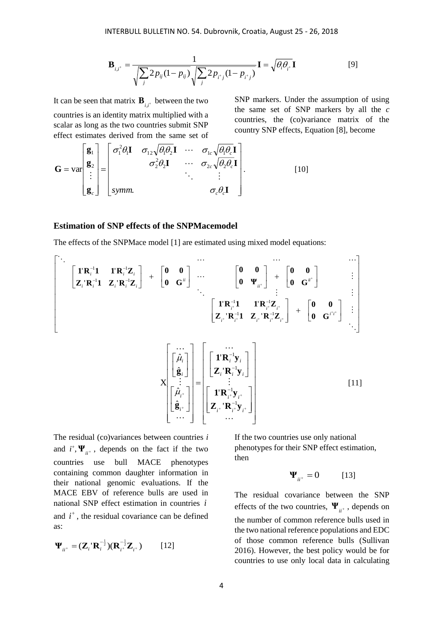$$
\mathbf{B}_{i,i^+} = \frac{1}{\sqrt{\sum_{j} 2p_{ij}(1-p_{ij})} \sqrt{\sum_{j} 2p_{i^+j}(1-p_{i^+j})}} \mathbf{I} = \sqrt{\theta_i \theta_{i^+}} \mathbf{I}
$$
 [9]

It can be seen that matrix  $\mathbf{B}_{i,i^+}$  between the two countries is an identity matrix multiplied with a scalar as long as the two countries submit SNP effect estimates derived from the same set of

SNP markers. Under the assumption of using the same set of SNP markers by all the *c* countries, the (co)variance matrix of the country SNP effects, Equation [8], become

$$
\mathbf{G} = \text{var}\begin{bmatrix} \mathbf{g}_1 \\ \mathbf{g}_2 \\ \vdots \\ \mathbf{g}_c \end{bmatrix} = \begin{bmatrix} \sigma_1^2 \theta_1 \mathbf{I} & \sigma_{12} \sqrt{\theta_1 \theta_2} \mathbf{I} & \cdots & \sigma_{1c} \sqrt{\theta_1 \theta_c} \mathbf{I} \\ \sigma_2^2 \theta_2 \mathbf{I} & \cdots & \sigma_{2c} \sqrt{\theta_2 \theta_c} \mathbf{I} \\ \vdots & \ddots & \vdots \\ \text{symm.} & \sigma_c \theta_c \mathbf{I} \end{bmatrix} . \tag{10}
$$

#### **Estimation of SNP effects of the SNPMacemodel**

The effects of the SNPMace model [1] are estimated using mixed model equations:

 *i i i i i i i i i i ii ii ii i i i i i i i i* **0 G 0 0 Z R 1 Z R Z 1 R 1 1 R Z 0 G 0 0 0 Ψ 0 0 0 G 0 0 Z R 1 Z R Z 1 R 1 1 R Z** 1 1 1 1 1 1 1 1 ' ' ' ' ' ' ' ' *i i i i i i i i i i i i i i* **Z R y 1 R y Z R y 1 R y g g** 1 1 1 1 ''''ˆˆˆX [11]

The residual (co)variances between countries *i* and  $i^+$ ,  $\Psi_{ii^+}$ , depends on the fact if the two countries use bull MACE phenotypes containing common daughter information in their national genomic evaluations. If the MACE EBV of reference bulls are used in national SNP effect estimation in countries *i* and  $i^+$ , the residual covariance can be defined as:

$$
\mathbf{\Psi}_{ii^+} = (\mathbf{Z}_i \, \mathbf{R}_i^{-\frac{1}{2}}) (\mathbf{R}_{i^+}^{-\frac{1}{2}} \mathbf{Z}_{i^+}) \tag{12}
$$

If the two countries use only national phenotypes for their SNP effect estimation, then

$$
\Psi_{ii^+} = 0 \tag{13}
$$

The residual covariance between the SNP effects of the two countries,  $\Psi_{ii^+}$ , depends on the number of common reference bulls used in the two national reference populations and EDC of those common reference bulls (Sullivan 2016). However, the best policy would be for countries to use only local data in calculating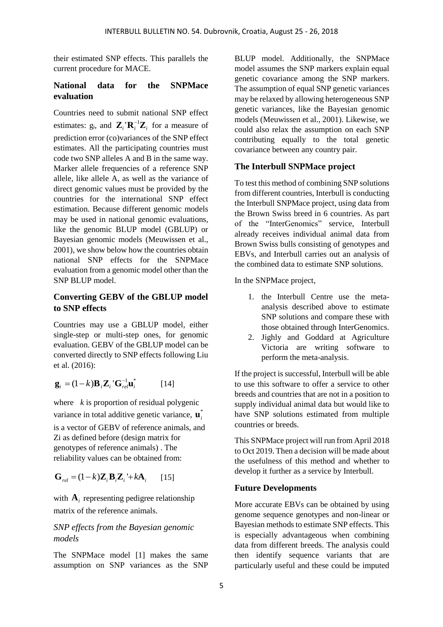their estimated SNP effects. This parallels the current procedure for MACE.

### **National data for the SNPMace evaluation**

Countries need to submit national SNP effect estimates:  $g_i$ , and  $\mathbf{Z}_i \cdot \mathbf{R}_i^{-1} \mathbf{Z}_i$  for a measure of prediction error (co)variances of the SNP effect estimates. All the participating countries must code two SNP alleles A and B in the same way. Marker allele frequencies of a reference SNP allele, like allele A, as well as the variance of direct genomic values must be provided by the countries for the international SNP effect estimation. Because different genomic models may be used in national genomic evaluations, like the genomic BLUP model (GBLUP) or Bayesian genomic models (Meuwissen et al., 2001), we show below how the countries obtain national SNP effects for the SNPMace evaluation from a genomic model other than the SNP BLUP model.

#### **Converting GEBV of the GBLUP model to SNP effects**

Countries may use a GBLUP model, either single-step or multi-step ones, for genomic evaluation. GEBV of the GBLUP model can be converted directly to SNP effects following Liu et al. (2016):

$$
\mathbf{g}_i = (1 - k)\mathbf{B}_i \mathbf{Z}_i \mathbf{G}_{rel}^{-1} \mathbf{u}_i^*
$$
 [14]

where *k* is proportion of residual polygenic variance in total additive genetic variance,  $\mathbf{u}_i^*$ 

is a vector of GEBV of reference animals, and Zi as defined before (design matrix for genotypes of reference animals) . The reliability values can be obtained from:

$$
\mathbf{G}_{rel} = (1 - k)\mathbf{Z}_i \mathbf{B}_i \mathbf{Z}_i + k\mathbf{A}_i \qquad [15]
$$

with  $A_i$  representing pedigree relationship matrix of the reference animals.

### *SNP effects from the Bayesian genomic models*

The SNPMace model [1] makes the same assumption on SNP variances as the SNP BLUP model. Additionally, the SNPMace model assumes the SNP markers explain equal genetic covariance among the SNP markers. The assumption of equal SNP genetic variances may be relaxed by allowing heterogeneous SNP genetic variances, like the Bayesian genomic models (Meuwissen et al., 2001). Likewise, we could also relax the assumption on each SNP contributing equally to the total genetic covariance between any country pair.

#### **The Interbull SNPMace project**

To test this method of combining SNP solutions from different countries, Interbull is conducting the Interbull SNPMace project, using data from the Brown Swiss breed in 6 countries. As part of the "InterGenomics" service, Interbull already receives individual animal data from Brown Swiss bulls consisting of genotypes and EBVs, and Interbull carries out an analysis of the combined data to estimate SNP solutions.

In the SNPMace project,

- 1. the Interbull Centre use the metaanalysis described above to estimate SNP solutions and compare these with those obtained through InterGenomics.
- 2. Jighly and Goddard at Agriculture Victoria are writing software to perform the meta-analysis.

If the project is successful, Interbull will be able to use this software to offer a service to other breeds and countries that are not in a position to supply individual animal data but would like to have SNP solutions estimated from multiple countries or breeds.

This SNPMace project will run from April 2018 to Oct 2019. Then a decision will be made about the usefulness of this method and whether to develop it further as a service by Interbull.

### **Future Developments**

More accurate EBVs can be obtained by using genome sequence genotypes and non-linear or Bayesian methods to estimate SNP effects. This is especially advantageous when combining data from different breeds. The analysis could then identify sequence variants that are particularly useful and these could be imputed